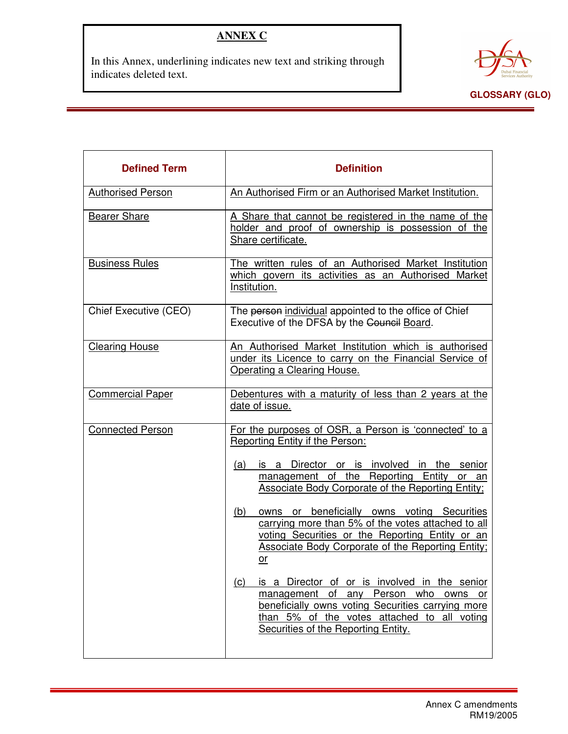## **ANNEX C**

In this Annex, underlining indicates new text and striking through indicates deleted text.



| <b>Defined Term</b>      | <b>Definition</b>                                                                                                                                                                                                                       |
|--------------------------|-----------------------------------------------------------------------------------------------------------------------------------------------------------------------------------------------------------------------------------------|
| <b>Authorised Person</b> | An Authorised Firm or an Authorised Market Institution.                                                                                                                                                                                 |
| <b>Bearer Share</b>      | A Share that cannot be registered in the name of the<br>holder and proof of ownership is possession of the<br>Share certificate.                                                                                                        |
| <b>Business Rules</b>    | The written rules of an Authorised Market Institution<br>which govern its activities as an Authorised Market<br>Institution.                                                                                                            |
| Chief Executive (CEO)    | The person individual appointed to the office of Chief<br>Executive of the DFSA by the Council Board.                                                                                                                                   |
| <b>Clearing House</b>    | An Authorised Market Institution which is authorised<br>under its Licence to carry on the Financial Service of<br>Operating a Clearing House.                                                                                           |
| <b>Commercial Paper</b>  | Debentures with a maturity of less than 2 years at the<br>date of issue.                                                                                                                                                                |
| <b>Connected Person</b>  | For the purposes of OSR, a Person is 'connected' to a<br>Reporting Entity if the Person:                                                                                                                                                |
|                          | is a Director or is involved in the senior<br>(a)<br>management of the Reporting Entity or an<br><b>Associate Body Corporate of the Reporting Entity;</b>                                                                               |
|                          | owns or beneficially owns voting Securities<br>(b)<br>carrying more than 5% of the votes attached to all<br>voting Securities or the Reporting Entity or an<br><b>Associate Body Corporate of the Reporting Entity:</b><br>$or$         |
|                          | is a Director of or is involved in the senior<br>(c)<br>management of any Person who owns or<br>beneficially owns voting Securities carrying more<br>than 5% of the votes attached to all voting<br>Securities of the Reporting Entity. |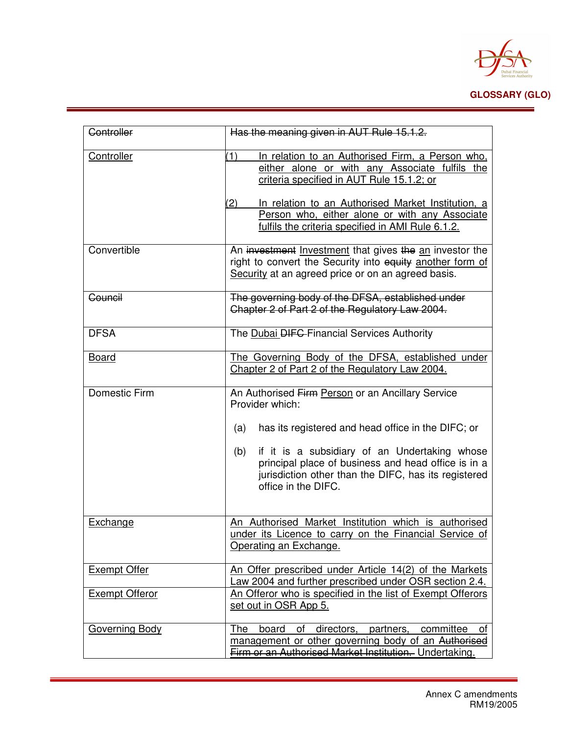

| Controller            |                                                                                                                                                                                                                                                                                                                                     |
|-----------------------|-------------------------------------------------------------------------------------------------------------------------------------------------------------------------------------------------------------------------------------------------------------------------------------------------------------------------------------|
|                       | Has the meaning given in AUT Rule 15.1.2.                                                                                                                                                                                                                                                                                           |
| Controller            | (1)<br>In relation to an Authorised Firm, a Person who,<br>either alone or with any Associate fulfils the<br>criteria specified in AUT Rule 15.1.2; or<br>In relation to an Authorised Market Institution, a<br>$\mathbf{2}$<br>Person who, either alone or with any Associate<br>fulfils the criteria specified in AMI Rule 6.1.2. |
| Convertible           | An investment Investment that gives the an investor the<br>right to convert the Security into equity another form of<br>Security at an agreed price or on an agreed basis.                                                                                                                                                          |
| Council               | The governing body of the DFSA, established under<br>Chapter 2 of Part 2 of the Regulatory Law 2004.                                                                                                                                                                                                                                |
| <b>DFSA</b>           | The Dubai <del>DIFC</del> -Financial Services Authority                                                                                                                                                                                                                                                                             |
| <b>Board</b>          | The Governing Body of the DFSA, established under<br>Chapter 2 of Part 2 of the Regulatory Law 2004.                                                                                                                                                                                                                                |
| Domestic Firm         | An Authorised Firm Person or an Ancillary Service<br>Provider which:                                                                                                                                                                                                                                                                |
|                       | has its registered and head office in the DIFC; or<br>(a)                                                                                                                                                                                                                                                                           |
|                       | if it is a subsidiary of an Undertaking whose<br>(b)<br>principal place of business and head office is in a<br>jurisdiction other than the DIFC, has its registered<br>office in the DIFC.                                                                                                                                          |
| Exchange              | An Authorised Market Institution which is authorised<br>under its Licence to carry on the Financial Service of<br>Operating an Exchange.                                                                                                                                                                                            |
| <b>Exempt Offer</b>   | An Offer prescribed under Article 14(2) of the Markets<br>Law 2004 and further prescribed under OSR section 2.4.                                                                                                                                                                                                                    |
| <b>Exempt Offeror</b> | An Offeror who is specified in the list of Exempt Offerors<br>set out in OSR App 5.                                                                                                                                                                                                                                                 |
| Governing Body        | of directors, partners,<br>The<br>board<br>committee<br>0f<br>management or other governing body of an Authorised<br>Firm or an Authorised Market Institution. Undertaking.                                                                                                                                                         |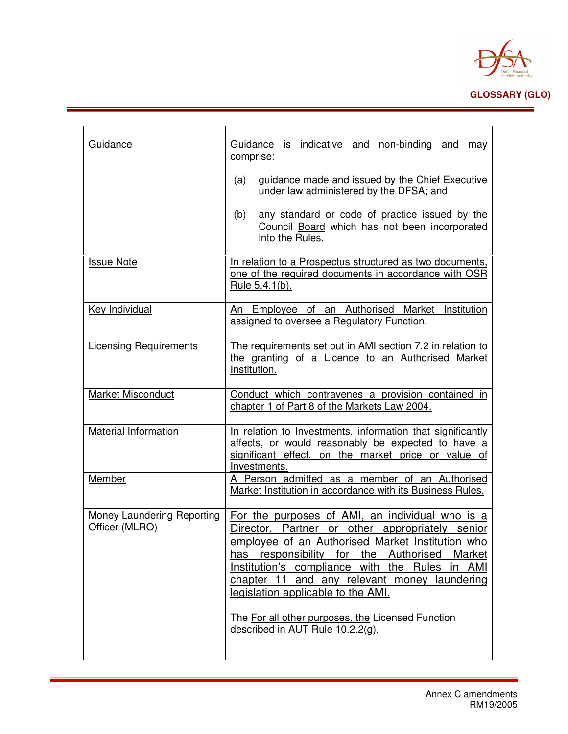

| Guidance                                     | Guidance is indicative and non-binding and<br>may<br>comprise:<br>guidance made and issued by the Chief Executive<br>(a)<br>under law administered by the DFSA; and<br>any standard or code of practice issued by the<br>(b)<br>Council Board which has not been incorporated                                                                                                                                                                    |
|----------------------------------------------|--------------------------------------------------------------------------------------------------------------------------------------------------------------------------------------------------------------------------------------------------------------------------------------------------------------------------------------------------------------------------------------------------------------------------------------------------|
|                                              | into the Rules.                                                                                                                                                                                                                                                                                                                                                                                                                                  |
| <b>Issue Note</b>                            | In relation to a Prospectus structured as two documents,<br>one of the required documents in accordance with OSR<br>Rule 5.4.1(b).                                                                                                                                                                                                                                                                                                               |
| Key Individual                               | An Employee of an Authorised Market Institution<br>assigned to oversee a Regulatory Function.                                                                                                                                                                                                                                                                                                                                                    |
| <b>Licensing Requirements</b>                | The requirements set out in AMI section 7.2 in relation to<br>the granting of a Licence to an Authorised Market<br>Institution.                                                                                                                                                                                                                                                                                                                  |
| <b>Market Misconduct</b>                     | Conduct which contravenes a provision contained in<br>chapter 1 of Part 8 of the Markets Law 2004.                                                                                                                                                                                                                                                                                                                                               |
| Material Information                         | In relation to Investments, information that significantly<br>affects, or would reasonably be expected to have a<br>significant effect, on the market price or value of<br>Investments.                                                                                                                                                                                                                                                          |
| Member                                       | A Person admitted as a member of an Authorised<br>Market Institution in accordance with its Business Rules.                                                                                                                                                                                                                                                                                                                                      |
| Money Laundering Reporting<br>Officer (MLRO) | For the purposes of AMI, an individual who is a<br>Director, Partner or other appropriately senior<br>employee of an Authorised Market Institution who<br>the Authorised<br>has responsibility<br>for<br>Market<br>Institution's compliance with the Rules in AMI<br>chapter 11 and any relevant money laundering<br>legislation applicable to the AMI.<br>The For all other purposes, the Licensed Function<br>described in AUT Rule 10.2.2(g). |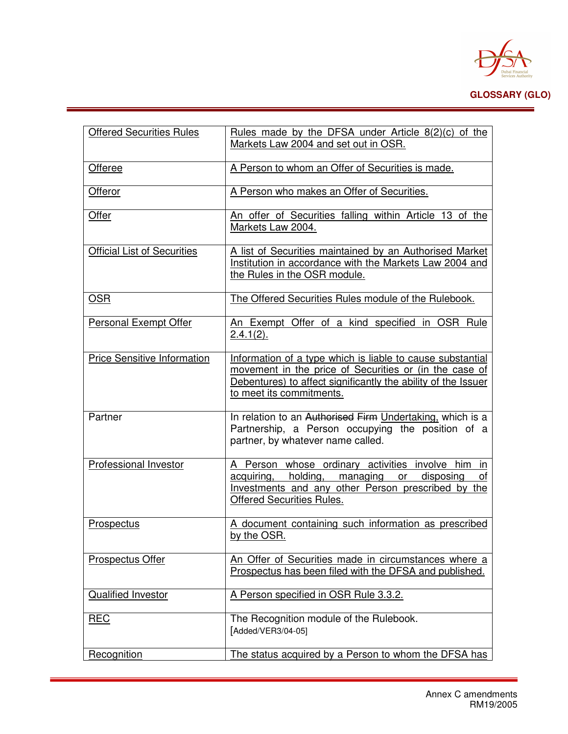

| <b>Offered Securities Rules</b>    | Rules made by the DFSA under Article $\frac{8(2)}{c}$ of the<br>Markets Law 2004 and set out in OSR.                                                                                                              |
|------------------------------------|-------------------------------------------------------------------------------------------------------------------------------------------------------------------------------------------------------------------|
| Offeree                            | A Person to whom an Offer of Securities is made.                                                                                                                                                                  |
| Offeror                            | A Person who makes an Offer of Securities.                                                                                                                                                                        |
| Offer                              | An offer of Securities falling within Article 13 of the<br>Markets Law 2004.                                                                                                                                      |
| <b>Official List of Securities</b> | A list of Securities maintained by an Authorised Market<br>Institution in accordance with the Markets Law 2004 and<br>the Rules in the OSR module.                                                                |
| <b>OSR</b>                         | The Offered Securities Rules module of the Rulebook.                                                                                                                                                              |
| <b>Personal Exempt Offer</b>       | An Exempt Offer of a kind specified in OSR Rule<br>$2.4.1(2)$ .                                                                                                                                                   |
| <b>Price Sensitive Information</b> | Information of a type which is liable to cause substantial<br>movement in the price of Securities or (in the case of<br>Debentures) to affect significantly the ability of the Issuer<br>to meet its commitments. |
| Partner                            | In relation to an Authorised Firm Undertaking, which is a<br>Partnership, a Person occupying the position of a<br>partner, by whatever name called.                                                               |
| Professional Investor              | A Person whose ordinary activities involve him in<br>acquiring, holding, managing or disposing<br>of<br>Investments and any other Person prescribed by the<br><b>Offered Securities Rules.</b>                    |
| Prospectus                         | A document containing such information as prescribed<br>by the OSR.                                                                                                                                               |
| <b>Prospectus Offer</b>            | An Offer of Securities made in circumstances where a<br>Prospectus has been filed with the DFSA and published.                                                                                                    |
| <b>Qualified Investor</b>          | A Person specified in OSR Rule 3.3.2.                                                                                                                                                                             |
| <b>REC</b>                         | The Recognition module of the Rulebook.<br>[Added/VER3/04-05]                                                                                                                                                     |
| Recognition                        | The status acquired by a Person to whom the DFSA has                                                                                                                                                              |